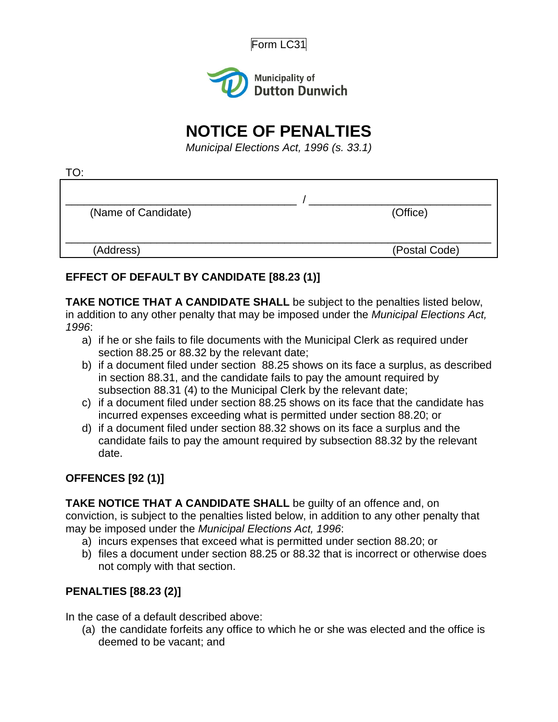



# **NOTICE OF PENALTIES**

*Municipal Elections Act, 1996 (s. 33.1)*

| (Name of Candidate) | (Office)      |
|---------------------|---------------|
|                     |               |
| (Address)           | (Postal Code) |

## **EFFECT OF DEFAULT BY CANDIDATE [88.23 (1)]**

**TAKE NOTICE THAT A CANDIDATE SHALL** be subject to the penalties listed below, in addition to any other penalty that may be imposed under the *Municipal Elections Act, 1996*:

- a) if he or she fails to file documents with the Municipal Clerk as required under section 88.25 or 88.32 by the relevant date;
- b) if a document filed under section 88.25 shows on its face a surplus, as described in section 88.31, and the candidate fails to pay the amount required by subsection 88.31 (4) to the Municipal Clerk by the relevant date;
- c) if a document filed under section 88.25 shows on its face that the candidate has incurred expenses exceeding what is permitted under section 88.20; or
- d) if a document filed under section 88.32 shows on its face a surplus and the candidate fails to pay the amount required by subsection 88.32 by the relevant date.

### **OFFENCES [92 (1)]**

**TAKE NOTICE THAT A CANDIDATE SHALL** be guilty of an offence and, on conviction, is subject to the penalties listed below, in addition to any other penalty that

may be imposed under the *Municipal Elections Act, 1996*:

- a) incurs expenses that exceed what is permitted under section 88.20; or
- b) files a document under section 88.25 or 88.32 that is incorrect or otherwise does not comply with that section.

## **PENALTIES [88.23 (2)]**

In the case of a default described above:

(a) the candidate forfeits any office to which he or she was elected and the office is deemed to be vacant; and